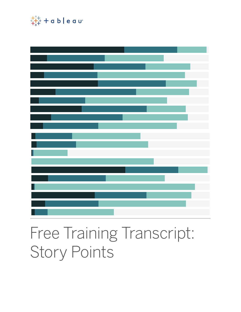

# Free Training Transcript: Story Points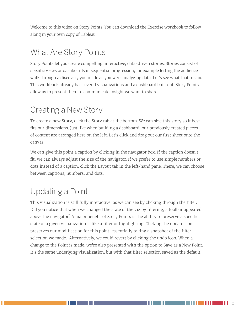Welcome to this video on Story Points. You can download the Exercise workbook to follow along in your own copy of Tableau.

#### What Are Story Points

Story Points let you create compelling, interactive, data-driven stories. Stories consist of specific views or dashboards in sequential progression, for example letting the audience walk through a discovery you made as you were analyzing data. Let's see what that means. This workbook already has several visualizations and a dashboard built out. Story Points allow us to present them to communicate insight we want to share.

### Creating a New Story

To create a new Story, click the Story tab at the bottom. We can size this story so it best fits our dimensions. Just like when building a dashboard, our previously created pieces of content are arranged here on the left. Let's click and drag out our first sheet onto the canvas.

We can give this point a caption by clicking in the navigator box. If the caption doesn't fit, we can always adjust the size of the navigator. If we prefer to use simple numbers or dots instead of a caption, click the Layout tab in the left-hand pane. There, we can choose between captions, numbers, and dots.

# Updating a Point

This visualization is still fully interactive, as we can see by clicking through the filter. Did you notice that when we changed the state of the viz by filtering, a toolbar appeared above the navigator? A major benefit of Story Points is the ability to preserve a specific state of a given visualization – like a filter or highlighting. Clicking the update icon preserves our modification for this point, essentially taking a snapshot of the filter selection we made. Alternatively, we could revert by clicking the undo icon. When a change to the Point is made, we're also presented with the option to Save as a New Point. It's the same underlying visualization, but with that filter selection saved as the default.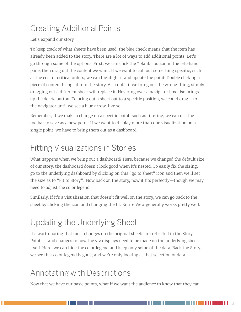### Creating Additional Points

Let's expand our story.

To keep track of what sheets have been used, the blue check means that the item has already been added to the story. There are a lot of ways to add additional points. Let's go through some of the options. First, we can click the "blank" button in the left-hand pane, then drag out the content we want. If we want to call out something specific, such as the cost of critical orders, we can highlight it and update the point. Double clicking a piece of content brings it into the story. As a note, if we bring out the wrong thing, simply dragging out a different sheet will replace it. Hovering over a navigator box also brings up the delete button. To bring out a sheet out to a specific position, we could drag it to the navigator until we see a blue arrow, like so.

Remember, if we make a change on a specific point, such as filtering, we can use the toolbar to save as a new point. If we want to display more than one visualization on a single point, we have to bring them out as a dashboard.

# Fitting Visualizations in Stories

What happens when we bring out a dashboard? Here, because we changed the default size of our story, the dashboard doesn't look good when it's nested. To easily fix the sizing, go to the underlying dashboard by clicking on this "go to sheet" icon and then we'll set the size as to "Fit to Story". Now back on the story, now it fits perfectly—though we may need to adjust the color legend.

Similarly, if it's a visualization that doesn't fit well on the story, we can go back to the sheet by clicking the icon and changing the fit. Entire View generally works pretty well.

# Updating the Underlying Sheet

It's worth noting that most changes on the original sheets are reflected in the Story Points – and changes to how the viz displays need to be made on the underlying sheet itself. Here, we can hide the color legend and keep only some of the data. Back the Story, we see that color legend is gone, and we're only looking at that selection of data.

#### Annotating with Descriptions

Now that we have our basic points, what if we want the audience to know that they can